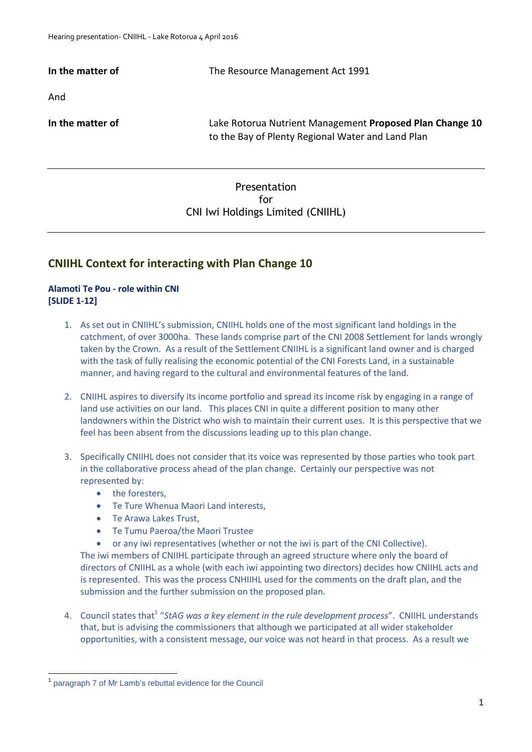**In the matter of The Resource Management Act 1991** And **In the matter of** Lake Rotorua Nutrient Management **Proposed Plan Change 10**  to the Bay of Plenty Regional Water and Land Plan

# Presentation for CNI Iwi Holdings Limited (CNIIHL)

# **CNIIHL Context for interacting with Plan Change 10**

## **Alamoti Te Pou - role within CNI [SLIDE 1-12]**

- 1. As set out in CNIIHL's submission, CNIIHL holds one of the most significant land holdings in the catchment, of over 3000ha. These lands comprise part of the CNI 2008 Settlement for lands wrongly taken by the Crown. As a result of the Settlement CNIIHL is a significant land owner and is charged with the task of fully realising the economic potential of the CNI Forests Land, in a sustainable manner, and having regard to the cultural and environmental features of the land.
- 2. CNIIHL aspires to diversify its income portfolio and spread its income risk by engaging in a range of land use activities on our land. This places CNI in quite a different position to many other landowners within the District who wish to maintain their current uses. It is this perspective that we feel has been absent from the discussions leading up to this plan change.
- 3. Specifically CNIIHL does not consider that its voice was represented by those parties who took part in the collaborative process ahead of the plan change. Certainly our perspective was not represented by:
	- the foresters,
	- Te Ture Whenua Maori Land interests,
	- Te Arawa Lakes Trust,
	- Te Tumu Paeroa/the Maori Trustee
	- or any iwi representatives (whether or not the iwi is part of the CNI Collective).

The iwi members of CNIIHL participate through an agreed structure where only the board of directors of CNIIHL as a whole (with each iwi appointing two directors) decides how CNIIHL acts and is represented. This was the process CNHIIHL used for the comments on the draft plan, and the submission and the further submission on the proposed plan.

4. Council states that<sup>1</sup> "StAG was a key element in the rule development process". CNIIHL understands that, but is advising the commissioners that although we participated at all wider stakeholder opportunities, with a consistent message, our voice was not heard in that process. As a result we

**.** 

<sup>1</sup> paragraph 7 of Mr Lamb's rebuttal evidence for the Council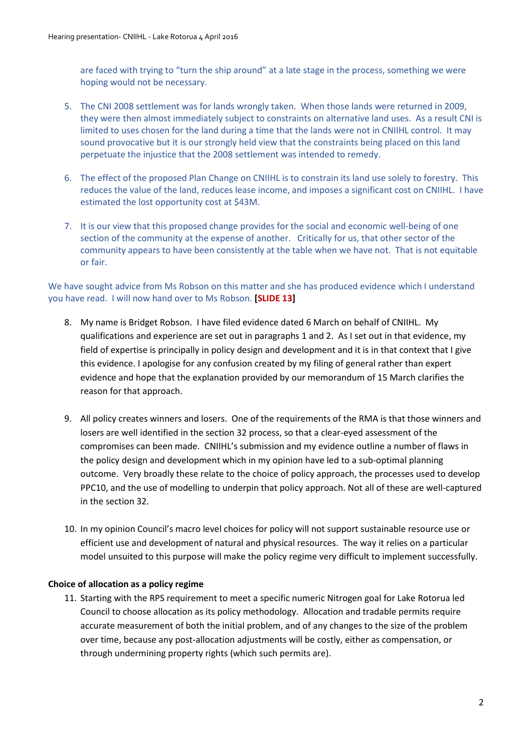are faced with trying to "turn the ship around" at a late stage in the process, something we were hoping would not be necessary.

- 5. The CNI 2008 settlement was for lands wrongly taken. When those lands were returned in 2009, they were then almost immediately subject to constraints on alternative land uses. As a result CNI is limited to uses chosen for the land during a time that the lands were not in CNIIHL control. It may sound provocative but it is our strongly held view that the constraints being placed on this land perpetuate the injustice that the 2008 settlement was intended to remedy.
- 6. The effect of the proposed Plan Change on CNIIHL is to constrain its land use solely to forestry. This reduces the value of the land, reduces lease income, and imposes a significant cost on CNIIHL. I have estimated the lost opportunity cost at \$43M.
- 7. It is our view that this proposed change provides for the social and economic well-being of one section of the community at the expense of another. Critically for us, that other sector of the community appears to have been consistently at the table when we have not. That is not equitable or fair.

## We have sought advice from Ms Robson on this matter and she has produced evidence which I understand you have read. I will now hand over to Ms Robson. **[SLIDE 13]**

- 8. My name is Bridget Robson. I have filed evidence dated 6 March on behalf of CNIIHL. My qualifications and experience are set out in paragraphs 1 and 2. As I set out in that evidence, my field of expertise is principally in policy design and development and it is in that context that I give this evidence. I apologise for any confusion created by my filing of general rather than expert evidence and hope that the explanation provided by our memorandum of 15 March clarifies the reason for that approach.
- 9. All policy creates winners and losers. One of the requirements of the RMA is that those winners and losers are well identified in the section 32 process, so that a clear-eyed assessment of the compromises can been made. CNIIHL's submission and my evidence outline a number of flaws in the policy design and development which in my opinion have led to a sub-optimal planning outcome. Very broadly these relate to the choice of policy approach, the processes used to develop PPC10, and the use of modelling to underpin that policy approach. Not all of these are well-captured in the section 32.
- 10. In my opinion Council's macro level choices for policy will not support sustainable resource use or efficient use and development of natural and physical resources. The way it relies on a particular model unsuited to this purpose will make the policy regime very difficult to implement successfully.

## **Choice of allocation as a policy regime**

11. Starting with the RPS requirement to meet a specific numeric Nitrogen goal for Lake Rotorua led Council to choose allocation as its policy methodology. Allocation and tradable permits require accurate measurement of both the initial problem, and of any changes to the size of the problem over time, because any post-allocation adjustments will be costly, either as compensation, or through undermining property rights (which such permits are).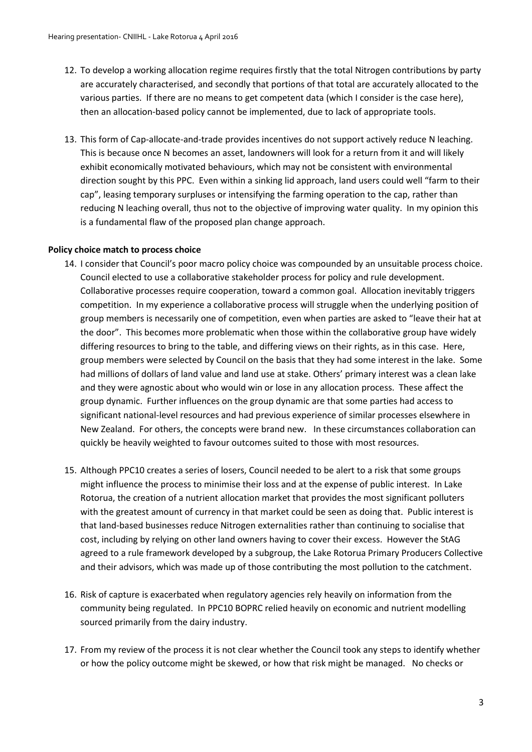- 12. To develop a working allocation regime requires firstly that the total Nitrogen contributions by party are accurately characterised, and secondly that portions of that total are accurately allocated to the various parties. If there are no means to get competent data (which I consider is the case here), then an allocation-based policy cannot be implemented, due to lack of appropriate tools.
- 13. This form of Cap-allocate-and-trade provides incentives do not support actively reduce N leaching. This is because once N becomes an asset, landowners will look for a return from it and will likely exhibit economically motivated behaviours, which may not be consistent with environmental direction sought by this PPC. Even within a sinking lid approach, land users could well "farm to their cap", leasing temporary surpluses or intensifying the farming operation to the cap, rather than reducing N leaching overall, thus not to the objective of improving water quality. In my opinion this is a fundamental flaw of the proposed plan change approach.

#### **Policy choice match to process choice**

- 14. I consider that Council's poor macro policy choice was compounded by an unsuitable process choice. Council elected to use a collaborative stakeholder process for policy and rule development. Collaborative processes require cooperation, toward a common goal. Allocation inevitably triggers competition. In my experience a collaborative process will struggle when the underlying position of group members is necessarily one of competition, even when parties are asked to "leave their hat at the door". This becomes more problematic when those within the collaborative group have widely differing resources to bring to the table, and differing views on their rights, as in this case. Here, group members were selected by Council on the basis that they had some interest in the lake. Some had millions of dollars of land value and land use at stake. Others' primary interest was a clean lake and they were agnostic about who would win or lose in any allocation process. These affect the group dynamic. Further influences on the group dynamic are that some parties had access to significant national-level resources and had previous experience of similar processes elsewhere in New Zealand. For others, the concepts were brand new. In these circumstances collaboration can quickly be heavily weighted to favour outcomes suited to those with most resources.
- 15. Although PPC10 creates a series of losers, Council needed to be alert to a risk that some groups might influence the process to minimise their loss and at the expense of public interest. In Lake Rotorua, the creation of a nutrient allocation market that provides the most significant polluters with the greatest amount of currency in that market could be seen as doing that. Public interest is that land-based businesses reduce Nitrogen externalities rather than continuing to socialise that cost, including by relying on other land owners having to cover their excess. However the StAG agreed to a rule framework developed by a subgroup, the Lake Rotorua Primary Producers Collective and their advisors, which was made up of those contributing the most pollution to the catchment.
- 16. Risk of capture is exacerbated when regulatory agencies rely heavily on information from the community being regulated. In PPC10 BOPRC relied heavily on economic and nutrient modelling sourced primarily from the dairy industry.
- 17. From my review of the process it is not clear whether the Council took any steps to identify whether or how the policy outcome might be skewed, or how that risk might be managed. No checks or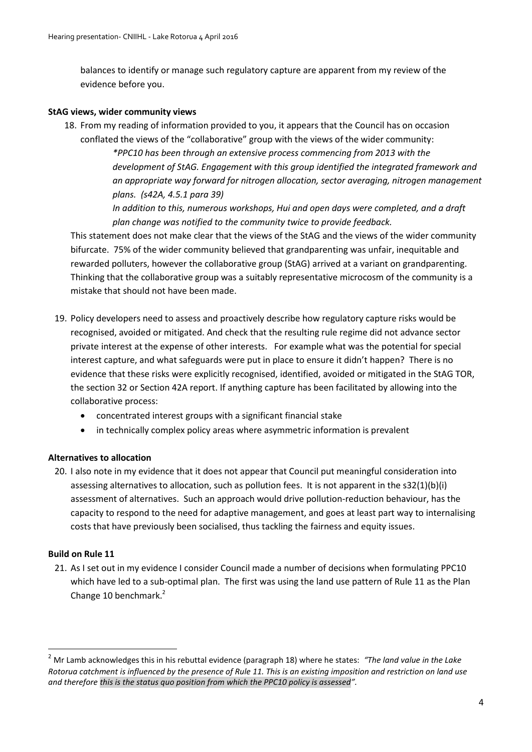balances to identify or manage such regulatory capture are apparent from my review of the evidence before you.

#### **StAG views, wider community views**

18. From my reading of information provided to you, it appears that the Council has on occasion conflated the views of the "collaborative" group with the views of the wider community: *\*PPC10 has been through an extensive process commencing from 2013 with the development of StAG. Engagement with this group identified the integrated framework and an appropriate way forward for nitrogen allocation, sector averaging, nitrogen management plans. (s42A, 4.5.1 para 39) In addition to this, numerous workshops, Hui and open days were completed, and a draft plan change was notified to the community twice to provide feedback.*

This statement does not make clear that the views of the StAG and the views of the wider community bifurcate. 75% of the wider community believed that grandparenting was unfair, inequitable and rewarded polluters, however the collaborative group (StAG) arrived at a variant on grandparenting. Thinking that the collaborative group was a suitably representative microcosm of the community is a mistake that should not have been made.

- 19. Policy developers need to assess and proactively describe how regulatory capture risks would be recognised, avoided or mitigated. And check that the resulting rule regime did not advance sector private interest at the expense of other interests. For example what was the potential for special interest capture, and what safeguards were put in place to ensure it didn't happen? There is no evidence that these risks were explicitly recognised, identified, avoided or mitigated in the StAG TOR, the section 32 or Section 42A report. If anything capture has been facilitated by allowing into the collaborative process:
	- concentrated interest groups with a significant financial stake
	- in technically complex policy areas where asymmetric information is prevalent

## **Alternatives to allocation**

20. I also note in my evidence that it does not appear that Council put meaningful consideration into assessing alternatives to allocation, such as pollution fees. It is not apparent in the s32(1)(b)(i) assessment of alternatives. Such an approach would drive pollution-reduction behaviour, has the capacity to respond to the need for adaptive management, and goes at least part way to internalising costs that have previously been socialised, thus tackling the fairness and equity issues.

## **Build on Rule 11**

 $\overline{a}$ 

21. As I set out in my evidence I consider Council made a number of decisions when formulating PPC10 which have led to a sub-optimal plan. The first was using the land use pattern of Rule 11 as the Plan Change 10 benchmark.<sup>2</sup>

<sup>2</sup> Mr Lamb acknowledges this in his rebuttal evidence (paragraph 18) where he states: *"The land value in the Lake Rotorua catchment is influenced by the presence of Rule 11. This is an existing imposition and restriction on land use and therefore this is the status quo position from which the PPC10 policy is assessed".*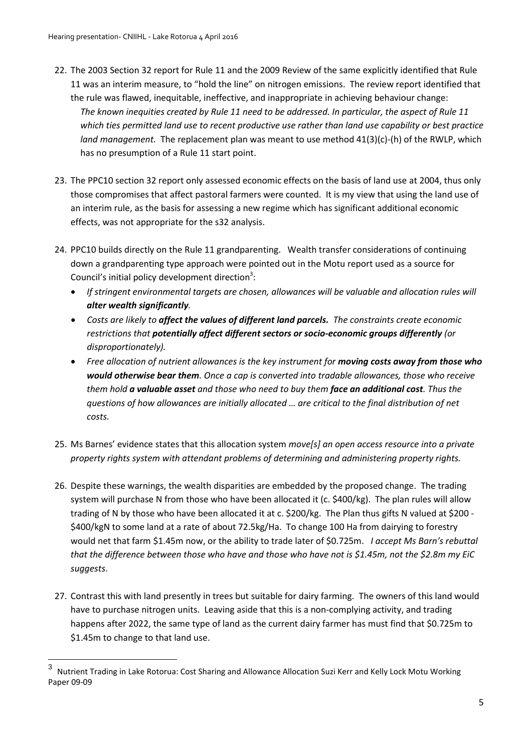- 22. The 2003 Section 32 report for Rule 11 and the 2009 Review of the same explicitly identified that Rule 11 was an interim measure, to "hold the line" on nitrogen emissions. The review report identified that the rule was flawed, inequitable, ineffective, and inappropriate in achieving behaviour change: *The known inequities created by Rule 11 need to be addressed. In particular, the aspect of Rule 11 which ties permitted land use to recent productive use rather than land use capability or best practice land management.* The replacement plan was meant to use method 41(3)(c)-(h) of the RWLP, which has no presumption of a Rule 11 start point.
- 23. The PPC10 section 32 report only assessed economic effects on the basis of land use at 2004, thus only those compromises that affect pastoral farmers were counted. It is my view that using the land use of an interim rule, as the basis for assessing a new regime which has significant additional economic effects, was not appropriate for the s32 analysis.
- 24. PPC10 builds directly on the Rule 11 grandparenting. Wealth transfer considerations of continuing down a grandparenting type approach were pointed out in the Motu report used as a source for Council's initial policy development direction<sup>3</sup>:
	- *If stringent environmental targets are chosen, allowances will be valuable and allocation rules will alter wealth significantly.*
	- *Costs are likely to affect the values of different land parcels. The constraints create economic restrictions that potentially affect different sectors or socio-economic groups differently (or disproportionately).*
	- *Free allocation of nutrient allowances is the key instrument for moving costs away from those who would otherwise bear them. Once a cap is converted into tradable allowances, those who receive them hold a valuable asset and those who need to buy them face an additional cost. Thus the questions of how allowances are initially allocated … are critical to the final distribution of net costs.*
- 25. Ms Barnes' evidence states that this allocation system *move[s] an open access resource into a private property rights system with attendant problems of determining and administering property rights.*
- 26. Despite these warnings, the wealth disparities are embedded by the proposed change. The trading system will purchase N from those who have been allocated it (c. \$400/kg). The plan rules will allow trading of N by those who have been allocated it at c. \$200/kg. The Plan thus gifts N valued at \$200 - \$400/kgN to some land at a rate of about 72.5kg/Ha. To change 100 Ha from dairying to forestry would net that farm \$1.45m now, or the ability to trade later of \$0.725m. *I accept Ms Barn's rebuttal that the difference between those who have and those who have not is \$1.45m, not the \$2.8m my EiC suggests*.
- 27. Contrast this with land presently in trees but suitable for dairy farming. The owners of this land would have to purchase nitrogen units. Leaving aside that this is a non-complying activity, and trading happens after 2022, the same type of land as the current dairy farmer has must find that \$0.725m to \$1.45m to change to that land use.

 3 Nutrient Trading in Lake Rotorua: Cost Sharing and Allowance Allocation Suzi Kerr and Kelly Lock Motu Working Paper 09-09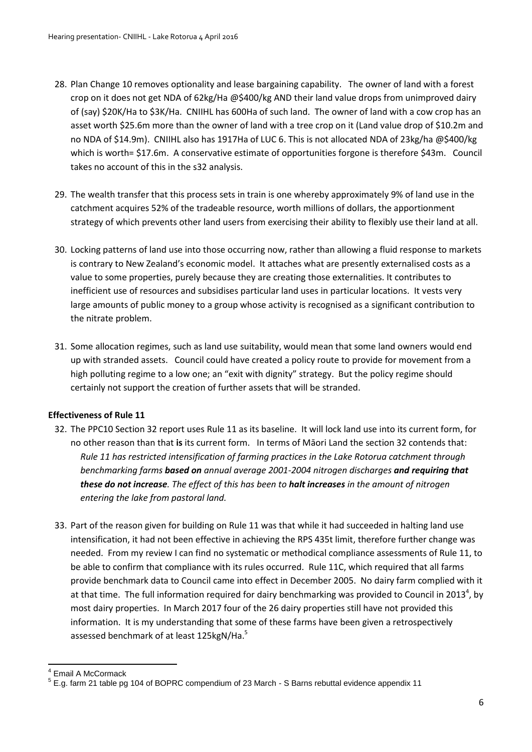- 28. Plan Change 10 removes optionality and lease bargaining capability. The owner of land with a forest crop on it does not get NDA of 62kg/Ha @\$400/kg AND their land value drops from unimproved dairy of (say) \$20K/Ha to \$3K/Ha. CNIIHL has 600Ha of such land. The owner of land with a cow crop has an asset worth \$25.6m more than the owner of land with a tree crop on it (Land value drop of \$10.2m and no NDA of \$14.9m). CNIIHL also has 1917Ha of LUC 6. This is not allocated NDA of 23kg/ha @\$400/kg which is worth= \$17.6m. A conservative estimate of opportunities forgone is therefore \$43m. Council takes no account of this in the s32 analysis.
- 29. The wealth transfer that this process sets in train is one whereby approximately 9% of land use in the catchment acquires 52% of the tradeable resource, worth millions of dollars, the apportionment strategy of which prevents other land users from exercising their ability to flexibly use their land at all.
- 30. Locking patterns of land use into those occurring now, rather than allowing a fluid response to markets is contrary to New Zealand's economic model. It attaches what are presently externalised costs as a value to some properties, purely because they are creating those externalities. It contributes to inefficient use of resources and subsidises particular land uses in particular locations. It vests very large amounts of public money to a group whose activity is recognised as a significant contribution to the nitrate problem.
- 31. Some allocation regimes, such as land use suitability, would mean that some land owners would end up with stranded assets. Council could have created a policy route to provide for movement from a high polluting regime to a low one; an "exit with dignity" strategy. But the policy regime should certainly not support the creation of further assets that will be stranded.

## **Effectiveness of Rule 11**

- 32. The PPC10 Section 32 report uses Rule 11 as its baseline. It will lock land use into its current form, for no other reason than that **is** its current form. In terms of Māori Land the section 32 contends that: *Rule 11 has restricted intensification of farming practices in the Lake Rotorua catchment through benchmarking farms based on annual average 2001-2004 nitrogen discharges and requiring that these do not increase. The effect of this has been to halt increases in the amount of nitrogen entering the lake from pastoral land.*
- 33. Part of the reason given for building on Rule 11 was that while it had succeeded in halting land use intensification, it had not been effective in achieving the RPS 435t limit, therefore further change was needed. From my review I can find no systematic or methodical compliance assessments of Rule 11, to be able to confirm that compliance with its rules occurred. Rule 11C, which required that all farms provide benchmark data to Council came into effect in December 2005. No dairy farm complied with it at that time. The full information required for dairy benchmarking was provided to Council in 2013<sup>4</sup>, by most dairy properties. In March 2017 four of the 26 dairy properties still have not provided this information. It is my understanding that some of these farms have been given a retrospectively assessed benchmark of at least 125kgN/Ha.<sup>5</sup>

**<sup>.</sup>** 4 Email A McCormack

 $<sup>5</sup>$  E.g. farm 21 table pg 104 of BOPRC compendium of 23 March - S Barns rebuttal evidence appendix 11</sup>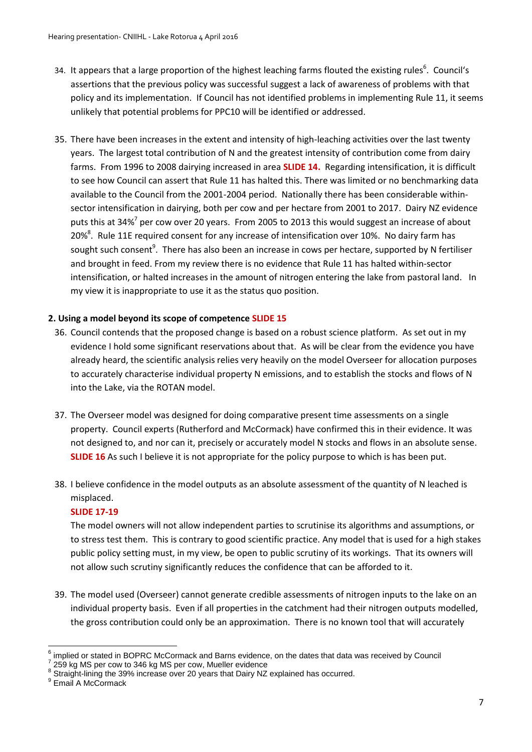- 34. It appears that a large proportion of the highest leaching farms flouted the existing rules<sup>6</sup>. Council's assertions that the previous policy was successful suggest a lack of awareness of problems with that policy and its implementation. If Council has not identified problems in implementing Rule 11, it seems unlikely that potential problems for PPC10 will be identified or addressed.
- 35. There have been increases in the extent and intensity of high-leaching activities over the last twenty years. The largest total contribution of N and the greatest intensity of contribution come from dairy farms. From 1996 to 2008 dairying increased in area **SLIDE 14.** Regarding intensification, it is difficult to see how Council can assert that Rule 11 has halted this. There was limited or no benchmarking data available to the Council from the 2001-2004 period. Nationally there has been considerable withinsector intensification in dairying, both per cow and per hectare from 2001 to 2017. Dairy NZ evidence puts this at 34%<sup>7</sup> per cow over 20 years. From 2005 to 2013 this would suggest an increase of about 20%<sup>8</sup>. Rule 11E required consent for any increase of intensification over 10%. No dairy farm has sought such consent<sup>9</sup>. There has also been an increase in cows per hectare, supported by N fertiliser and brought in feed. From my review there is no evidence that Rule 11 has halted within-sector intensification, or halted increases in the amount of nitrogen entering the lake from pastoral land. In my view it is inappropriate to use it as the status quo position.

## **2. Using a model beyond its scope of competence SLIDE 15**

- 36. Council contends that the proposed change is based on a robust science platform. As set out in my evidence I hold some significant reservations about that. As will be clear from the evidence you have already heard, the scientific analysis relies very heavily on the model Overseer for allocation purposes to accurately characterise individual property N emissions, and to establish the stocks and flows of N into the Lake, via the ROTAN model.
- 37. The Overseer model was designed for doing comparative present time assessments on a single property. Council experts (Rutherford and McCormack) have confirmed this in their evidence. It was not designed to, and nor can it, precisely or accurately model N stocks and flows in an absolute sense. **SLIDE 16** As such I believe it is not appropriate for the policy purpose to which is has been put.
- 38. I believe confidence in the model outputs as an absolute assessment of the quantity of N leached is misplaced.

#### **SLIDE 17-19**

The model owners will not allow independent parties to scrutinise its algorithms and assumptions, or to stress test them. This is contrary to good scientific practice. Any model that is used for a high stakes public policy setting must, in my view, be open to public scrutiny of its workings. That its owners will not allow such scrutiny significantly reduces the confidence that can be afforded to it.

39. The model used (Overseer) cannot generate credible assessments of nitrogen inputs to the lake on an individual property basis. Even if all properties in the catchment had their nitrogen outputs modelled, the gross contribution could only be an approximation. There is no known tool that will accurately

**<sup>.</sup>** 6 implied or stated in BOPRC McCormack and Barns evidence, on the dates that data was received by Council

<sup>7</sup> 259 kg MS per cow to 346 kg MS per cow, Mueller evidence

 $8$  Straight-lining the 39% increase over 20 years that Dairy NZ explained has occurred.

<sup>&</sup>lt;sup>9</sup> Email A McCormack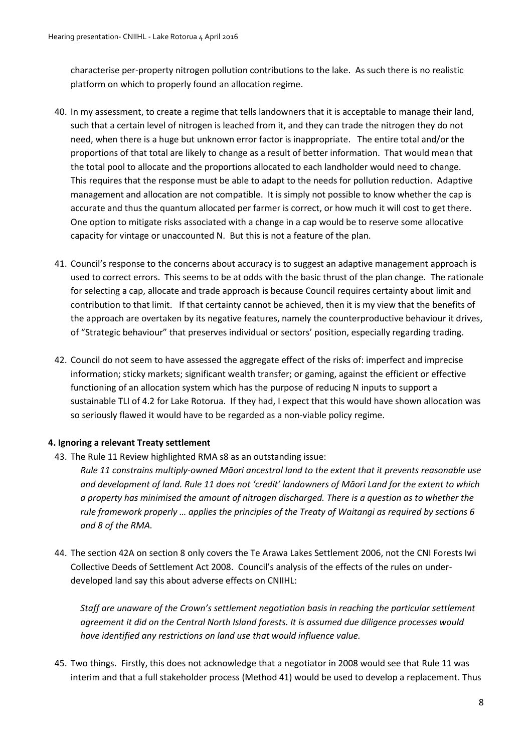characterise per-property nitrogen pollution contributions to the lake. As such there is no realistic platform on which to properly found an allocation regime.

- 40. In my assessment, to create a regime that tells landowners that it is acceptable to manage their land, such that a certain level of nitrogen is leached from it, and they can trade the nitrogen they do not need, when there is a huge but unknown error factor is inappropriate. The entire total and/or the proportions of that total are likely to change as a result of better information. That would mean that the total pool to allocate and the proportions allocated to each landholder would need to change. This requires that the response must be able to adapt to the needs for pollution reduction. Adaptive management and allocation are not compatible. It is simply not possible to know whether the cap is accurate and thus the quantum allocated per farmer is correct, or how much it will cost to get there. One option to mitigate risks associated with a change in a cap would be to reserve some allocative capacity for vintage or unaccounted N. But this is not a feature of the plan.
- 41. Council's response to the concerns about accuracy is to suggest an adaptive management approach is used to correct errors. This seems to be at odds with the basic thrust of the plan change. The rationale for selecting a cap, allocate and trade approach is because Council requires certainty about limit and contribution to that limit. If that certainty cannot be achieved, then it is my view that the benefits of the approach are overtaken by its negative features, namely the counterproductive behaviour it drives, of "Strategic behaviour" that preserves individual or sectors' position, especially regarding trading.
- 42. Council do not seem to have assessed the aggregate effect of the risks of: imperfect and imprecise information; sticky markets; significant wealth transfer; or gaming, against the efficient or effective functioning of an allocation system which has the purpose of reducing N inputs to support a sustainable TLI of 4.2 for Lake Rotorua. If they had, I expect that this would have shown allocation was so seriously flawed it would have to be regarded as a non-viable policy regime.

## **4. Ignoring a relevant Treaty settlement**

43. The Rule 11 Review highlighted RMA s8 as an outstanding issue:

*Rule 11 constrains multiply-owned Māori ancestral land to the extent that it prevents reasonable use and development of land. Rule 11 does not 'credit' landowners of Māori Land for the extent to which a property has minimised the amount of nitrogen discharged. There is a question as to whether the rule framework properly … applies the principles of the Treaty of Waitangi as required by sections 6 and 8 of the RMA.* 

44. The section 42A on section 8 only covers the Te Arawa Lakes Settlement 2006, not the CNI Forests Iwi Collective Deeds of Settlement Act 2008. Council's analysis of the effects of the rules on underdeveloped land say this about adverse effects on CNIIHL:

*Staff are unaware of the Crown's settlement negotiation basis in reaching the particular settlement agreement it did on the Central North Island forests. It is assumed due diligence processes would have identified any restrictions on land use that would influence value.*

45. Two things. Firstly, this does not acknowledge that a negotiator in 2008 would see that Rule 11 was interim and that a full stakeholder process (Method 41) would be used to develop a replacement. Thus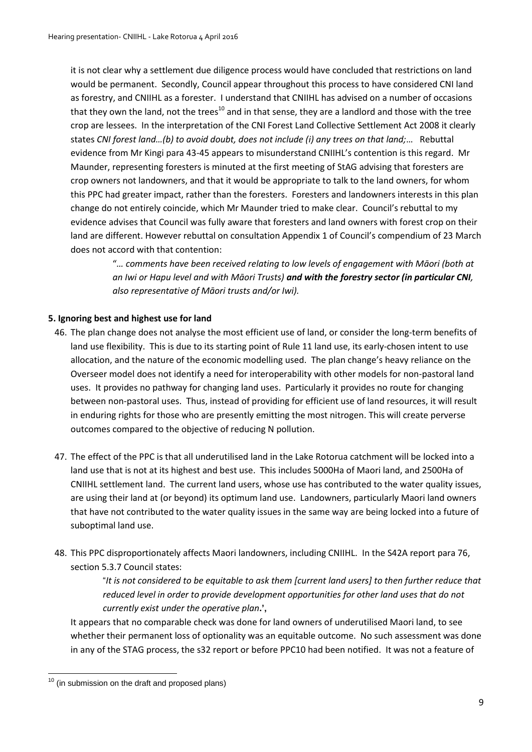it is not clear why a settlement due diligence process would have concluded that restrictions on land would be permanent. Secondly, Council appear throughout this process to have considered CNI land as forestry, and CNIIHL as a forester. I understand that CNIIHL has advised on a number of occasions that they own the land, not the trees<sup>10</sup> and in that sense, they are a landlord and those with the tree crop are lessees. In the interpretation of the CNI Forest Land Collective Settlement Act 2008 it clearly states *CNI forest land…(b) to avoid doubt, does not include (i) any trees on that land;*… Rebuttal evidence from Mr Kingi para 43-45 appears to misunderstand CNIIHL's contention is this regard. Mr Maunder, representing foresters is minuted at the first meeting of StAG advising that foresters are crop owners not landowners, and that it would be appropriate to talk to the land owners, for whom this PPC had greater impact, rather than the foresters. Foresters and landowners interests in this plan change do not entirely coincide, which Mr Maunder tried to make clear. Council's rebuttal to my evidence advises that Council was fully aware that foresters and land owners with forest crop on their land are different. However rebuttal on consultation Appendix 1 of Council's compendium of 23 March does not accord with that contention:

> "*… comments have been received relating to low levels of engagement with Māori (both at an Iwi or Hapu level and with Māori Trusts) and with the forestry sector (in particular CNI, also representative of Māori trusts and/or Iwi).*

## **5. Ignoring best and highest use for land**

- 46. The plan change does not analyse the most efficient use of land, or consider the long-term benefits of land use flexibility. This is due to its starting point of Rule 11 land use, its early-chosen intent to use allocation, and the nature of the economic modelling used. The plan change's heavy reliance on the Overseer model does not identify a need for interoperability with other models for non-pastoral land uses. It provides no pathway for changing land uses. Particularly it provides no route for changing between non-pastoral uses. Thus, instead of providing for efficient use of land resources, it will result in enduring rights for those who are presently emitting the most nitrogen. This will create perverse outcomes compared to the objective of reducing N pollution.
- 47. The effect of the PPC is that all underutilised land in the Lake Rotorua catchment will be locked into a land use that is not at its highest and best use. This includes 5000Ha of Maori land, and 2500Ha of CNIIHL settlement land. The current land users, whose use has contributed to the water quality issues, are using their land at (or beyond) its optimum land use. Landowners, particularly Maori land owners that have not contributed to the water quality issues in the same way are being locked into a future of suboptimal land use.
- 48. This PPC disproportionately affects Maori landowners, including CNIIHL. In the S42A report para 76, section 5.3.7 Council states:

"*It is not considered to be equitable to ask them [current land users] to then further reduce that reduced level in order to provide development opportunities for other land uses that do not currently exist under the operative plan***.',** 

It appears that no comparable check was done for land owners of underutilised Maori land, to see whether their permanent loss of optionality was an equitable outcome. No such assessment was done in any of the STAG process, the s32 report or before PPC10 had been notified. It was not a feature of

**<sup>.</sup>**  $10$  (in submission on the draft and proposed plans)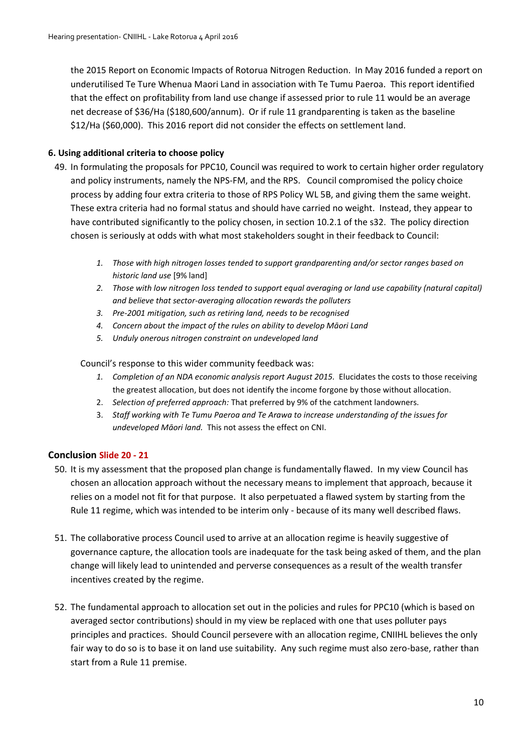the 2015 Report on Economic Impacts of Rotorua Nitrogen Reduction. In May 2016 funded a report on underutilised Te Ture Whenua Maori Land in association with Te Tumu Paeroa. This report identified that the effect on profitability from land use change if assessed prior to rule 11 would be an average net decrease of \$36/Ha (\$180,600/annum). Or if rule 11 grandparenting is taken as the baseline \$12/Ha (\$60,000). This 2016 report did not consider the effects on settlement land.

## **6. Using additional criteria to choose policy**

- 49. In formulating the proposals for PPC10, Council was required to work to certain higher order regulatory and policy instruments, namely the NPS-FM, and the RPS. Council compromised the policy choice process by adding four extra criteria to those of RPS Policy WL 5B, and giving them the same weight. These extra criteria had no formal status and should have carried no weight. Instead, they appear to have contributed significantly to the policy chosen, in section 10.2.1 of the s32. The policy direction chosen is seriously at odds with what most stakeholders sought in their feedback to Council:
	- *1. Those with high nitrogen losses tended to support grandparenting and/or sector ranges based on historic land use* [9% land]
	- *2. Those with low nitrogen loss tended to support equal averaging or land use capability (natural capital) and believe that sector-averaging allocation rewards the polluters*
	- *3. Pre-2001 mitigation, such as retiring land, needs to be recognised*
	- *4. Concern about the impact of the rules on ability to develop Māori Land*
	- *5. Unduly onerous nitrogen constraint on undeveloped land*

Council's response to this wider community feedback was:

- *1. Completion of an NDA economic analysis report August 2015.* Elucidates the costs to those receiving the greatest allocation, but does not identify the income forgone by those without allocation.
- 2. *Selection of preferred approach:* That preferred by 9% of the catchment landowners.
- 3. *Staff working with Te Tumu Paeroa and Te Arawa to increase understanding of the issues for undeveloped Māori land.* This not assess the effect on CNI.

## **Conclusion Slide 20 - 21**

- 50. It is my assessment that the proposed plan change is fundamentally flawed. In my view Council has chosen an allocation approach without the necessary means to implement that approach, because it relies on a model not fit for that purpose. It also perpetuated a flawed system by starting from the Rule 11 regime, which was intended to be interim only - because of its many well described flaws.
- 51. The collaborative process Council used to arrive at an allocation regime is heavily suggestive of governance capture, the allocation tools are inadequate for the task being asked of them, and the plan change will likely lead to unintended and perverse consequences as a result of the wealth transfer incentives created by the regime.
- 52. The fundamental approach to allocation set out in the policies and rules for PPC10 (which is based on averaged sector contributions) should in my view be replaced with one that uses polluter pays principles and practices. Should Council persevere with an allocation regime, CNIIHL believes the only fair way to do so is to base it on land use suitability. Any such regime must also zero-base, rather than start from a Rule 11 premise.